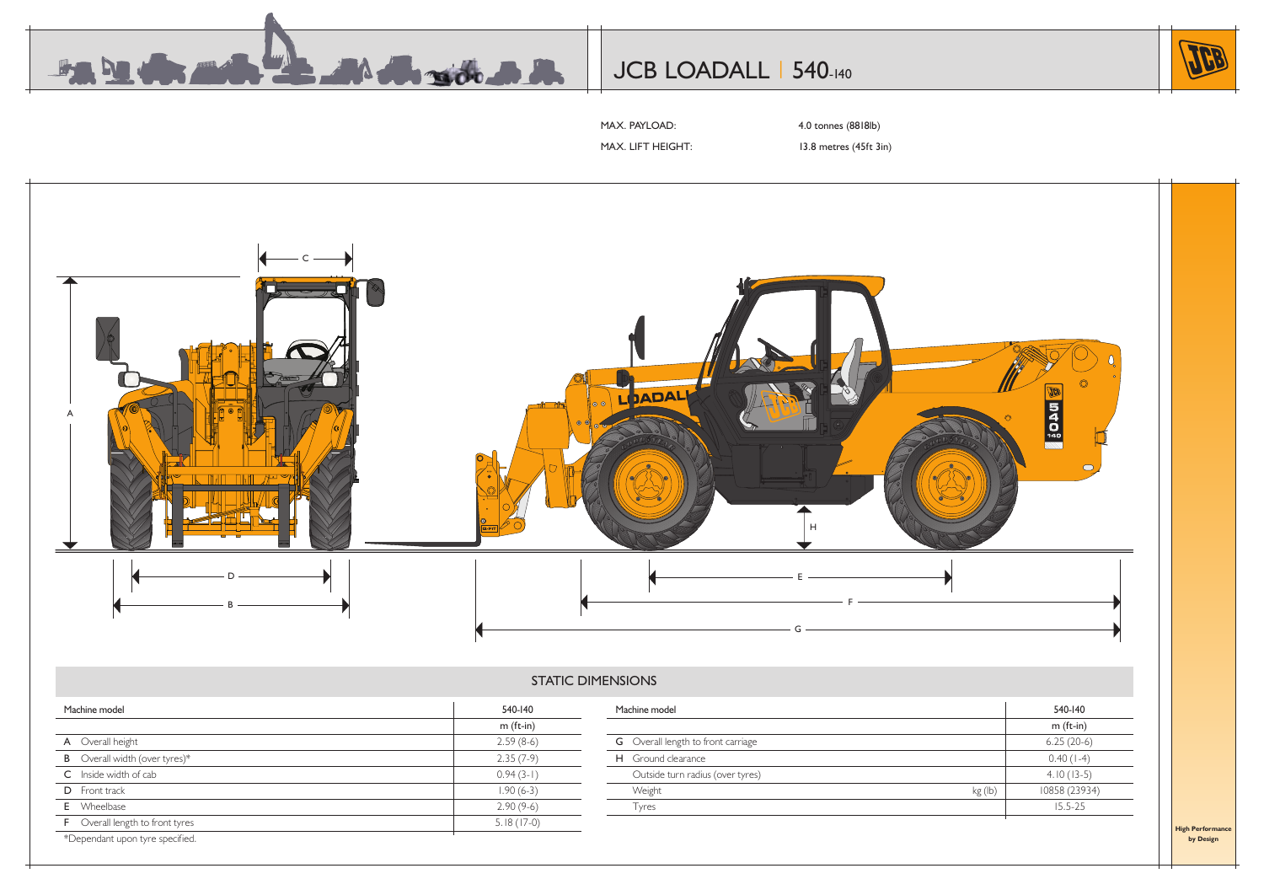

# JCB LOADALL | 540-140



MAX. PAYLOAD: 4.0 tonnes (8818lb)

MAX. LIFT HEIGHT: 13.8 metres (45ft 3in)



# STATIC DIMENSIONS

| Machine model                          | 540-140      | Machine model                             |         | 540-140       |
|----------------------------------------|--------------|-------------------------------------------|---------|---------------|
|                                        | $m$ (ft-in)  |                                           |         | m (ft-in)     |
| A Overall height                       | $2.59(8-6)$  | <b>G</b> Overall length to front carriage |         | $6.25(20-6)$  |
| <b>B</b> Overall width (over tyres)*   | $2.35(7-9)$  | H Ground clearance                        |         | $0.40(1-4)$   |
| C Inside width of cab                  | $0.94(3-1)$  | Outside turn radius (over tyres)          |         | $4.10(13-5)$  |
| D Front track                          | $1.90(6-3)$  | Weight                                    | kg (lb) | 10858 (23934) |
| <b>E</b> Wheelbase                     | $2.90(9-6)$  | Tyres                                     |         | $15.5 - 25$   |
| <b>F</b> Overall length to front tyres | $5.18(17-0)$ |                                           |         |               |
| *Dependant upon tyre specified.        |              |                                           |         |               |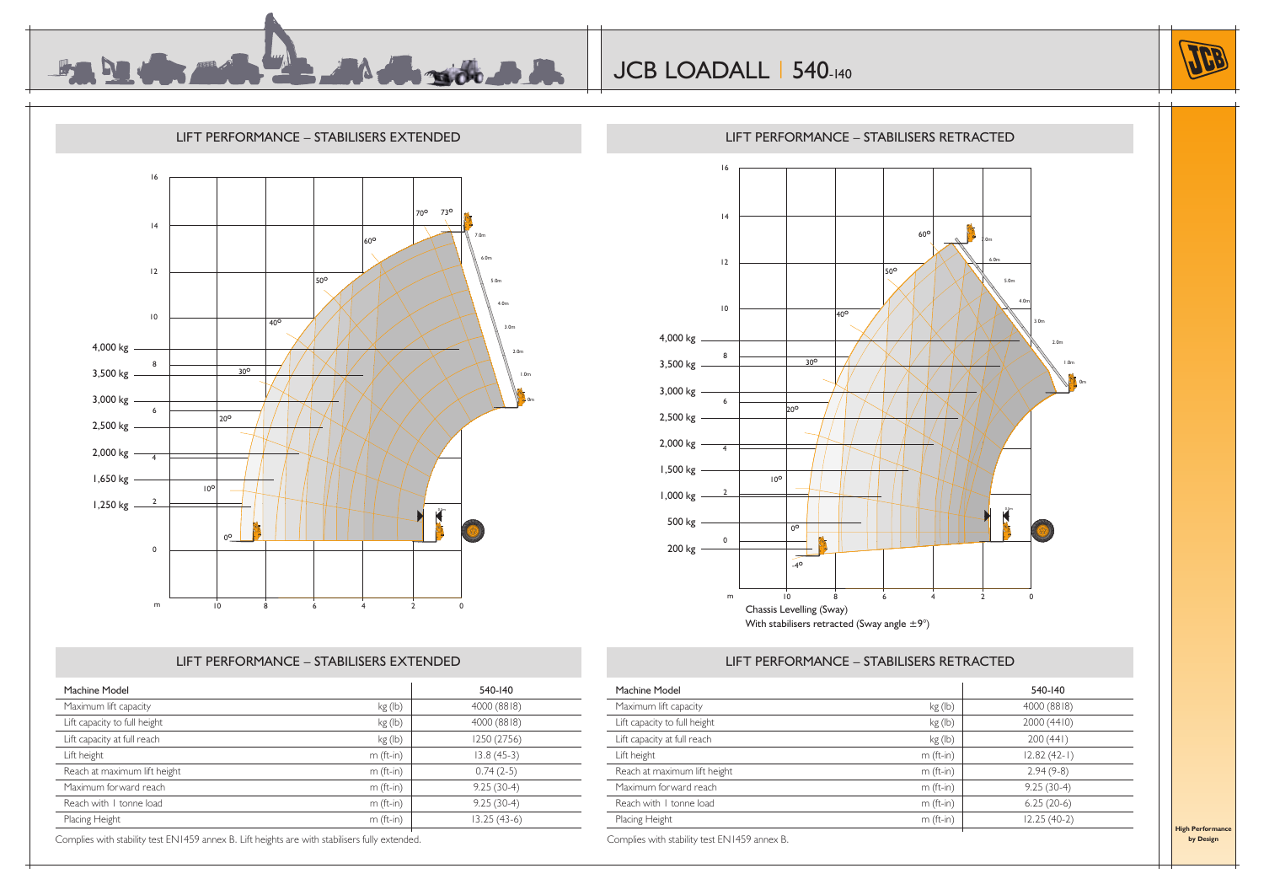





# LIFT PERFORMANCE – STABILISERS EXTENDED

|                                  | 16                         |                                                                        |
|----------------------------------|----------------------------|------------------------------------------------------------------------|
|                                  |                            |                                                                        |
|                                  |                            |                                                                        |
|                                  |                            |                                                                        |
|                                  | 4                          |                                                                        |
|                                  |                            | 60°<br>$_{1.0m}$                                                       |
|                                  |                            |                                                                        |
|                                  | 12                         | 6.0m                                                                   |
|                                  |                            | 50°<br>5.0m                                                            |
|                                  |                            |                                                                        |
|                                  | $\mathsf{I} \, \mathsf{0}$ | 4.0 <sub>m</sub>                                                       |
|                                  |                            | $\overline{40^{\circ}}$                                                |
|                                  |                            | 3.0 <sub>m</sub>                                                       |
| 4,000 kg —                       |                            | 2.0 <sub>m</sub>                                                       |
|                                  | 8                          | $30^\circ$<br>1.0 <sub>m</sub>                                         |
| 3,500 kg —                       |                            |                                                                        |
|                                  |                            | 0 <sub>m</sub>                                                         |
| $3,000 \text{ kg}$ $\frac{ }{6}$ |                            |                                                                        |
|                                  |                            | $20^{\circ}$                                                           |
| 2,500 kg —                       |                            |                                                                        |
| $2,000 \text{ kg}$ $\frac{ }{4}$ |                            |                                                                        |
|                                  |                            |                                                                        |
| 1,500 kg —                       |                            |                                                                        |
|                                  |                            | 10 <sup>o</sup>                                                        |
| 1,000 kg $\frac{2}{\sqrt{2}}$    |                            |                                                                        |
|                                  |                            |                                                                        |
| 500 kg —                         |                            |                                                                        |
|                                  |                            | $0^{\circ}$                                                            |
| 200 kg $\frac{0}{\sqrt{2}}$      |                            | û                                                                      |
|                                  |                            | $-4^\circ$                                                             |
|                                  |                            |                                                                        |
|                                  |                            |                                                                        |
|                                  | m                          | 10<br>$\dot{8}$<br>$\ddot{6}$<br>$\overline{2}$<br>$\overline{4}$<br>0 |
|                                  |                            | Chassis Levelling (Sway)                                               |
|                                  |                            | With stabilisers retracted (Sway angle $\pm 9^{\circ}$ )               |

### LIFT PERFORMANCE – STABILISERS RETRACTED

|             | 540-140       |
|-------------|---------------|
| kg (lb)     | 4000 (8818)   |
| kg (lb)     | 4000 (8818)   |
| kg (lb)     | 1250 (2756)   |
| $m$ (ft-in) | $13.8(45-3)$  |
| $m$ (ft-in) | $0.74(2-5)$   |
| $m$ (ft-in) | $9.25(30-4)$  |
| $m$ (ft-in) | $9.25(30-4)$  |
| $m$ (ft-in) | $13.25(43-6)$ |
|             |               |

Complies with stability test EN1459 annex B. Lift heights are with stabilisers fully extended.

| Machine Model                |             | 540-140       |
|------------------------------|-------------|---------------|
| Maximum lift capacity        | kg (lb)     | 4000 (8818)   |
| Lift capacity to full height | kg (lb)     | 2000 (4410)   |
| Lift capacity at full reach  | kg (lb)     | 200(441)      |
| Lift height                  | $m$ (ft-in) | $12.82(42-1)$ |
| Reach at maximum lift height | $m$ (ft-in) | $2.94(9-8)$   |
| Maximum forward reach        | $m$ (ft-in) | $9.25(30-4)$  |
| Reach with I tonne load      | $m$ (ft-in) | $6.25(20-6)$  |
| Placing Height               | $m$ (ft-in) | $12.25(40-2)$ |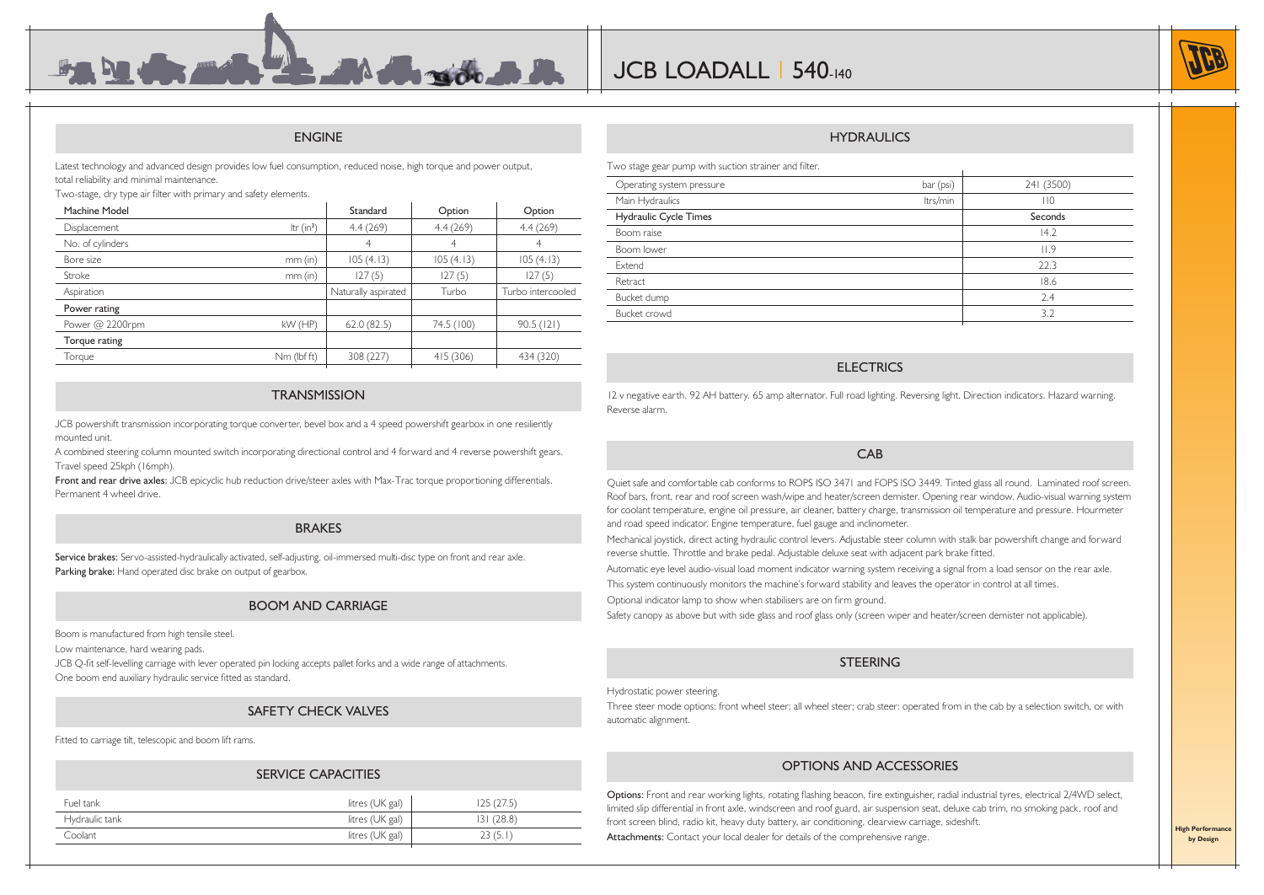#### ENGINE

**Banding Colombia** 

Latest technology and advanced design provides low fuel consumption, reduced noise, high torque and power output, total reliability and minimal maintenance.

Two-stage, dry type air filter with primary and safety elements.

| Machine Model     |              | Standard            | Option     | Option            |
|-------------------|--------------|---------------------|------------|-------------------|
| Displacement      | Itr $(in^3)$ | 4.4(269)            | 4.4(269)   | 4.4(269)          |
| No. of cylinders  |              | 4                   | 4          | 4                 |
| Bore size         | $mm$ (in)    | 105(4.13)           | 105(4.13)  | 105(4.13)         |
| Stroke            | $mm$ (in)    | 127(5)              | 127(5)     | 127(5)            |
| Aspiration        |              | Naturally aspirated | Turbo      | Turbo intercooled |
| Power rating      |              |                     |            |                   |
|                   |              |                     |            |                   |
| Power $@$ 2200rpm | $kW$ (HP)    | 62.0(82.5)          | 74.5 (100) | 90.5(121)         |
| Torque rating     |              |                     |            |                   |
| Torque            | Nm (lbf ft)  | 308 (227)           | 415 (306)  | 434 (320)         |

#### **TRANSMISSION**

JCB powershift transmission incorporating torque converter, bevel box and a 4 speed powershift gearbox in one resiliently mounted unit.

A combined steering column mounted switch incorporating directional control and 4 forward and 4 reverse powershift gears. Travel speed 25kph (16mph).

Front and rear drive axles: JCB epicyclic hub reduction drive/steer axles with Max-Trac torque proportioning differentials. Permanent 4 wheel drive.

#### BRAKES

Service brakes: Servo-assisted-hydraulically activated, self-adjusting, oil-immersed multi-disc type on front and rear axle. Parking brake: Hand operated disc brake on output of gearbox.

#### BOOM AND CARRIAGE

Boom is manufactured from high tensile steel.

Low maintenance, hard wearing pads.

JCB Q-fit self-levelling carriage with lever operated pin locking accepts pallet forks and a wide range of attachments. One boom end auxiliary hydraulic service fitted as standard.

#### SAFETY CHECK VALVES

Fitted to carriage tilt, telescopic and boom lift rams.

#### SERVICE CAPACITIES

| Fuel tank      |                 |          |
|----------------|-----------------|----------|
|                | litres (UK gal) | 25(27.5) |
| Hydraulic tank | litres (UK gal) | 31(28.8) |
| Coolant        | litres (UK gal) | 23(5.1)  |
|                |                 |          |

#### **HYDRAULICS**

Two stage gear pump with suction strainer and filter.

| Operating system pressure | bar (psi) | 241 (3500) |
|---------------------------|-----------|------------|
| Main Hydraulics           | ltrs/min  | 110        |
| Hydraulic Cycle Times     |           | Seconds    |
| Boom raise                |           | 14.2       |
| Boom lower                |           | 11.9       |
| Extend                    |           | 22.3       |
| Retract                   |           | 18.6       |
| Bucket dump               |           | 2.4        |
| Bucket crowd              |           | 3.2        |
|                           |           |            |

#### **ELECTRICS**

12 v negative earth. 92 AH battery. 65 amp alternator. Full road lighting. Reversing light. Direction indicators. Hazard warning. Reverse alarm.

#### CAB

Quiet safe and comfortable cab conforms to ROPS ISO 3471 and FOPS ISO 3449. Tinted glass all round. Laminated roof screen. Roof bars, front, rear and roof screen wash/wipe and heater/screen demister. Opening rear window. Audio-visual warning system for coolant temperature, engine oil pressure, air cleaner, battery charge, transmission oil temperature and pressure. Hourmeter and road speed indicator. Engine temperature, fuel gauge and inclinometer.

Mechanical joystick, direct acting hydraulic control levers. Adjustable steer column with stalk bar powershift change and forward reverse shuttle. Throttle and brake pedal. Adjustable deluxe seat with adjacent park brake fitted.

Automatic eye level audio-visual load moment indicator warning system receiving a signal from a load sensor on the rear axle.

This system continuously monitors the machine's forward stability and leaves the operator in control at all times.

Optional indicator lamp to show when stabilisers are on firm ground.

Safety canopy as above but with side glass and roof glass only (screen wiper and heater/screen demister not applicable).

#### **STEERING**

Hydrostatic power steering.

Three steer mode options: front wheel steer; all wheel steer; crab steer: operated from in the cab by a selection switch, or with automatic alignment.

#### OPTIONS AND ACCESSORIES

Options: Front and rear working lights, rotating flashing beacon, fire extinguisher, radial industrial tyres, electrical 2/4WD select, limited slip differential in front axle, windscreen and roof guard, air suspension seat, deluxe cab trim, no smoking pack, roof and front screen blind, radio kit, heavy duty battery, air conditioning, clearview carriage, sideshift. Attachments: Contact your local dealer for details of the comprehensive range.